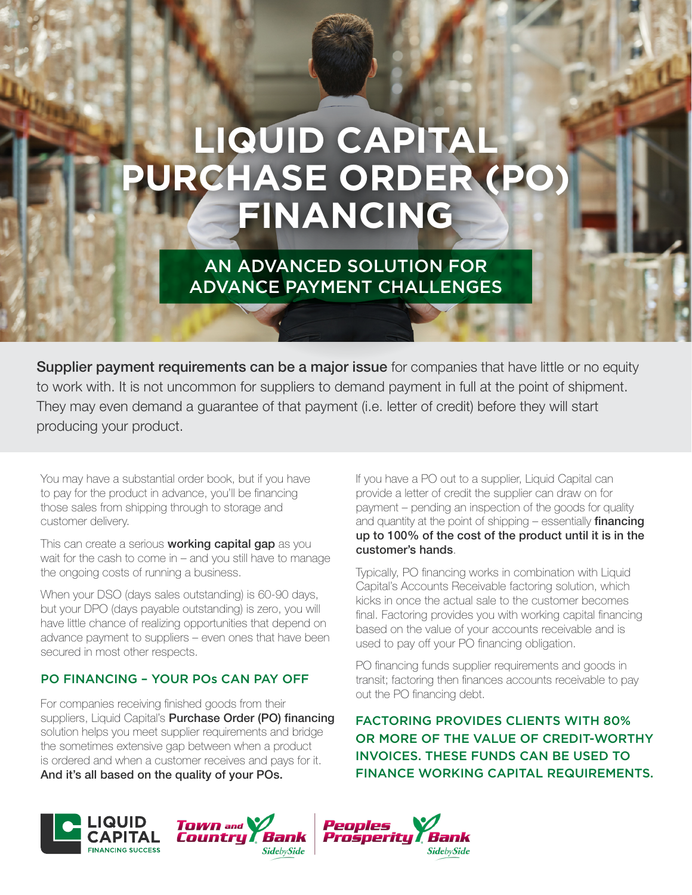# **LIQUID CAPITAL PURCHASE ORDER (PO) FINANCING**

AN ADVANCED SOLUTION FOR ADVANCE PAYMENT CHALLENGES

**Supplier payment requirements can be a major issue** for companies that have little or no equity to work with. It is not uncommon for suppliers to demand payment in full at the point of shipment. They may even demand a guarantee of that payment (i.e. letter of credit) before they will start producing your product.

You may have a substantial order book, but if you have to pay for the product in advance, you'll be financing those sales from shipping through to storage and customer delivery.

This can create a serious working capital gap as you wait for the cash to come in – and you still have to manage the ongoing costs of running a business.

When your DSO (days sales outstanding) is 60-90 days, but your DPO (days payable outstanding) is zero, you will have little chance of realizing opportunities that depend on advance payment to suppliers – even ones that have been secured in most other respects.

### PO FINANCING – YOUR POs CAN PAY OFF

For companies receiving finished goods from their suppliers, Liquid Capital's **Purchase Order (PO) financing** solution helps you meet supplier requirements and bridge the sometimes extensive gap between when a product is ordered and when a customer receives and pays for it. And it's all based on the quality of your POs.

If you have a PO out to a supplier, Liquid Capital can provide a letter of credit the supplier can draw on for payment – pending an inspection of the goods for quality and quantity at the point of shipping  $-$  essentially financing up to 100% of the cost of the product until it is in the customer's hands.

Typically, PO financing works in combination with Liquid Capital's Accounts Receivable factoring solution, which kicks in once the actual sale to the customer becomes final. Factoring provides you with working capital financing based on the value of your accounts receivable and is used to pay off your PO financing obligation.

PO financing funds supplier requirements and goods in transit; factoring then finances accounts receivable to pay out the PO financing debt.

FACTORING PROVIDES CLIENTS WITH 80% OR MORE OF THE VALUE OF CREDIT-WORTHY INVOICES. THESE FUNDS CAN BE USED TO FINANCE WORKING CAPITAL REQUIREMENTS.



**TOWN** and Countru Bank **SidebySide** 

Peoples Prosperity **SidebySide**